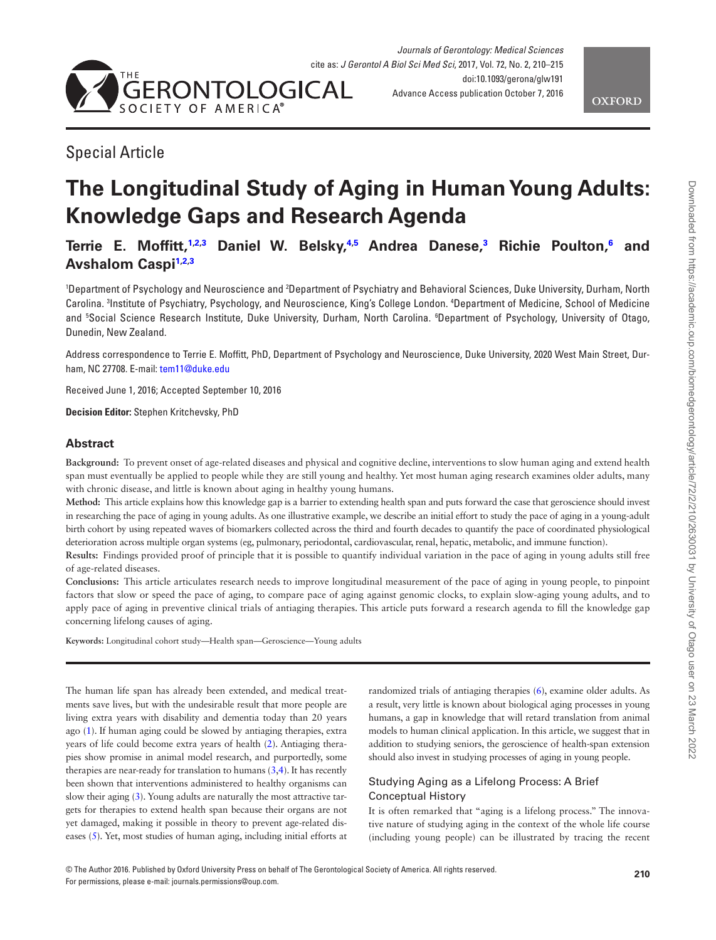



# Special Article

# **The Longitudinal Study of Aging in Human Young Adults: Knowledge Gaps and Research Agenda**

**Terrie E. Moffitt[,1](#page-0-0)[,2,](#page-0-1)[3](#page-0-2) Daniel W. Belsky,[4](#page-0-3)[,5](#page-0-4) Andrea Danese,[3](#page-0-2) Richie Poulton[,6](#page-0-5) and Avshalom Caspi[1,](#page-0-0)[2,](#page-0-1)[3](#page-0-2)**

<span id="page-0-5"></span><span id="page-0-4"></span><span id="page-0-3"></span><span id="page-0-2"></span><span id="page-0-1"></span><span id="page-0-0"></span>'Department of Psychology and Neuroscience and <sup>2</sup>Department of Psychiatry and Behavioral Sciences, Duke University, Durham, North Carolina. 3 Institute of Psychiatry, Psychology, and Neuroscience, King's College London. 4 Department of Medicine, School of Medicine and 5 Social Science Research Institute, Duke University, Durham, North Carolina. 6 Department of Psychology, University of Otago, Dunedin, New Zealand.

Address correspondence to Terrie E. Moffitt, PhD, Department of Psychology and Neuroscience, Duke University, 2020 West Main Street, Durham, NC 27708. E-mail: [tem11@duke.edu](mailto:tem11@duke.edu?subject=)

Received June 1, 2016; Accepted September 10, 2016

**Decision Editor:** Stephen Kritchevsky, PhD

### **Abstract**

**Background:** To prevent onset of age-related diseases and physical and cognitive decline, interventions to slow human aging and extend health span must eventually be applied to people while they are still young and healthy. Yet most human aging research examines older adults, many with chronic disease, and little is known about aging in healthy young humans.

**Method:** This article explains how this knowledge gap is a barrier to extending health span and puts forward the case that geroscience should invest in researching the pace of aging in young adults. As one illustrative example, we describe an initial effort to study the pace of aging in a young-adult birth cohort by using repeated waves of biomarkers collected across the third and fourth decades to quantify the pace of coordinated physiological deterioration across multiple organ systems (eg, pulmonary, periodontal, cardiovascular, renal, hepatic, metabolic, and immune function).

**Results:** Findings provided proof of principle that it is possible to quantify individual variation in the pace of aging in young adults still free of age-related diseases.

**Conclusions:** This article articulates research needs to improve longitudinal measurement of the pace of aging in young people, to pinpoint factors that slow or speed the pace of aging, to compare pace of aging against genomic clocks, to explain slow-aging young adults, and to apply pace of aging in preventive clinical trials of antiaging therapies. This article puts forward a research agenda to fill the knowledge gap concerning lifelong causes of aging.

**Keywords:** Longitudinal cohort study—Health span—Geroscience—Young adults

The human life span has already been extended, and medical treatments save lives, but with the undesirable result that more people are living extra years with disability and dementia today than 20 years ago ([1\)](#page-4-0). If human aging could be slowed by antiaging therapies, extra years of life could become extra years of health [\(2\)](#page-4-1). Antiaging therapies show promise in animal model research, and purportedly, some therapies are near-ready for translation to humans [\(3,](#page-4-2)[4](#page-4-3)). It has recently been shown that interventions administered to healthy organisms can slow their aging [\(3\)](#page-4-2). Young adults are naturally the most attractive targets for therapies to extend health span because their organs are not yet damaged, making it possible in theory to prevent age-related diseases [\(5\)](#page-4-4). Yet, most studies of human aging, including initial efforts at

randomized trials of antiaging therapies [\(6](#page-4-5)), examine older adults. As a result, very little is known about biological aging processes in young humans, a gap in knowledge that will retard translation from animal models to human clinical application. In this article, we suggest that in addition to studying seniors, the geroscience of health-span extension should also invest in studying processes of aging in young people.

# Studying Aging as a Lifelong Process: A Brief Conceptual History

It is often remarked that "aging is a lifelong process." The innovative nature of studying aging in the context of the whole life course (including young people) can be illustrated by tracing the recent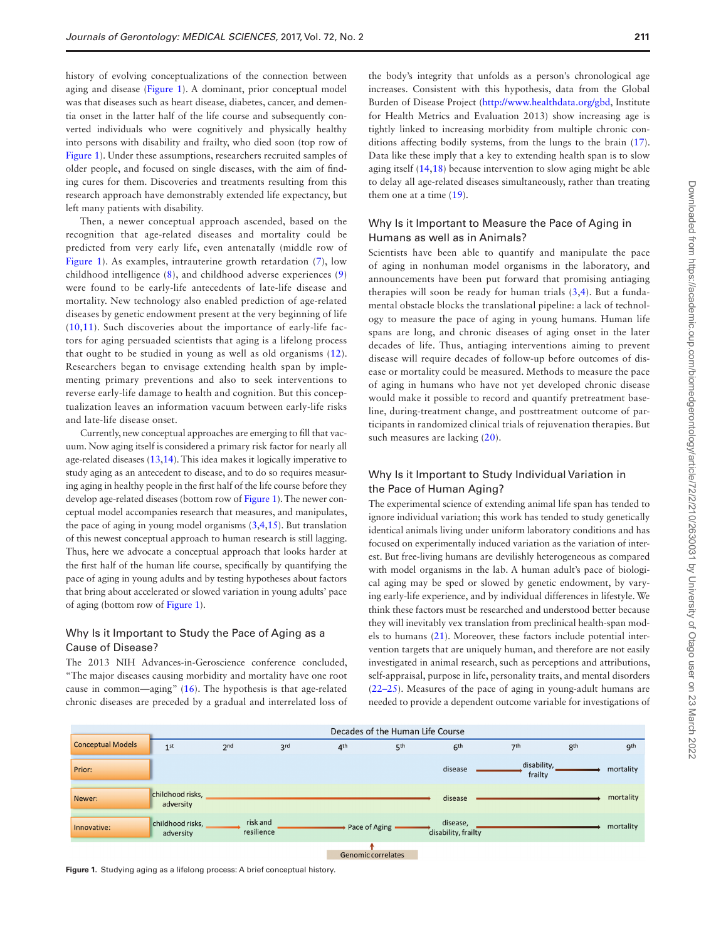history of evolving conceptualizations of the connection between aging and disease [\(Figure 1\)](#page-1-0). A dominant, prior conceptual model was that diseases such as heart disease, diabetes, cancer, and dementia onset in the latter half of the life course and subsequently converted individuals who were cognitively and physically healthy into persons with disability and frailty, who died soon (top row of [Figure 1\)](#page-1-0). Under these assumptions, researchers recruited samples of older people, and focused on single diseases, with the aim of finding cures for them. Discoveries and treatments resulting from this research approach have demonstrably extended life expectancy, but left many patients with disability.

Then, a newer conceptual approach ascended, based on the recognition that age-related diseases and mortality could be predicted from very early life, even antenatally (middle row of [Figure 1\)](#page-1-0). As examples, intrauterine growth retardation ([7](#page-4-6)), low childhood intelligence ([8](#page-4-7)), and childhood adverse experiences [\(9\)](#page-4-8) were found to be early-life antecedents of late-life disease and mortality. New technology also enabled prediction of age-related diseases by genetic endowment present at the very beginning of life [\(10,](#page-5-0)[11](#page-5-1)). Such discoveries about the importance of early-life factors for aging persuaded scientists that aging is a lifelong process that ought to be studied in young as well as old organisms ([12\)](#page-5-2). Researchers began to envisage extending health span by implementing primary preventions and also to seek interventions to reverse early-life damage to health and cognition. But this conceptualization leaves an information vacuum between early-life risks and late-life disease onset.

Currently, new conceptual approaches are emerging to fill that vacuum. Now aging itself is considered a primary risk factor for nearly all age-related diseases ([13](#page-5-3),[14](#page-5-4)). This idea makes it logically imperative to study aging as an antecedent to disease, and to do so requires measuring aging in healthy people in the first half of the life course before they develop age-related diseases (bottom row of [Figure 1\)](#page-1-0). The newer conceptual model accompanies research that measures, and manipulates, the pace of aging in young model organisms [\(3,](#page-4-2)[4](#page-4-3),[15](#page-5-5)). But translation of this newest conceptual approach to human research is still lagging. Thus, here we advocate a conceptual approach that looks harder at the first half of the human life course, specifically by quantifying the pace of aging in young adults and by testing hypotheses about factors that bring about accelerated or slowed variation in young adults' pace of aging (bottom row of [Figure 1](#page-1-0)).

## Why Is it Important to Study the Pace of Aging as a Cause of Disease?

The 2013 NIH Advances-in-Geroscience conference concluded, "The major diseases causing morbidity and mortality have one root cause in common—aging" ([16\)](#page-5-6). The hypothesis is that age-related chronic diseases are preceded by a gradual and interrelated loss of the body's integrity that unfolds as a person's chronological age increases. Consistent with this hypothesis, data from the Global Burden of Disease Project [\(http://www.healthdata.org/gbd,](http://www.healthdata.org/gbd) Institute for Health Metrics and Evaluation 2013) show increasing age is tightly linked to increasing morbidity from multiple chronic conditions affecting bodily systems, from the lungs to the brain [\(17](#page-5-7)). Data like these imply that a key to extending health span is to slow aging itself ([14,](#page-5-4)[18\)](#page-5-8) because intervention to slow aging might be able to delay all age-related diseases simultaneously, rather than treating them one at a time ([19\)](#page-5-9).

#### Why Is it Important to Measure the Pace of Aging in Humans as well as in Animals?

Scientists have been able to quantify and manipulate the pace of aging in nonhuman model organisms in the laboratory, and announcements have been put forward that promising antiaging therapies will soon be ready for human trials ([3,](#page-4-2)[4](#page-4-3)). But a fundamental obstacle blocks the translational pipeline: a lack of technology to measure the pace of aging in young humans. Human life spans are long, and chronic diseases of aging onset in the later decades of life. Thus, antiaging interventions aiming to prevent disease will require decades of follow-up before outcomes of disease or mortality could be measured. Methods to measure the pace of aging in humans who have not yet developed chronic disease would make it possible to record and quantify pretreatment baseline, during-treatment change, and posttreatment outcome of participants in randomized clinical trials of rejuvenation therapies. But such measures are lacking  $(20)$  $(20)$  $(20)$ .

#### Why Is it Important to Study Individual Variation in the Pace of Human Aging?

The experimental science of extending animal life span has tended to ignore individual variation; this work has tended to study genetically identical animals living under uniform laboratory conditions and has focused on experimentally induced variation as the variation of interest. But free-living humans are devilishly heterogeneous as compared with model organisms in the lab. A human adult's pace of biological aging may be sped or slowed by genetic endowment, by varying early-life experience, and by individual differences in lifestyle. We think these factors must be researched and understood better because they will inevitably vex translation from preclinical health-span models to humans [\(21\)](#page-5-11). Moreover, these factors include potential intervention targets that are uniquely human, and therefore are not easily investigated in animal research, such as perceptions and attributions, self-appraisal, purpose in life, personality traits, and mental disorders [\(22–25\)](#page-5-12). Measures of the pace of aging in young-adult humans are needed to provide a dependent outcome variable for investigations of



<span id="page-1-0"></span>**Figure 1.** Studying aging as a lifelong process: A brief conceptual history.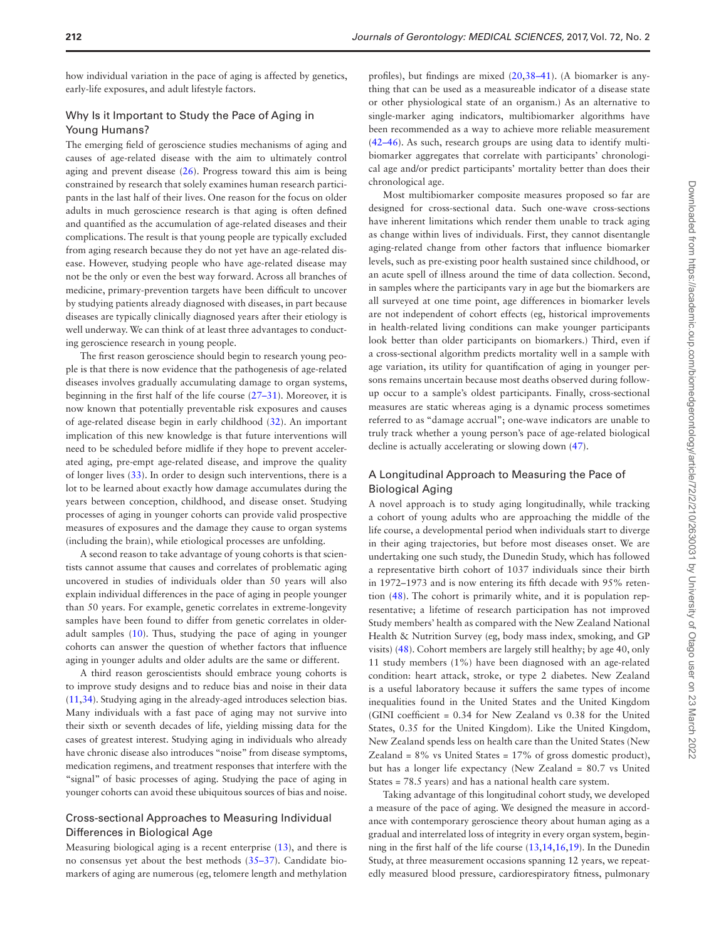how individual variation in the pace of aging is affected by genetics, early-life exposures, and adult lifestyle factors.

#### Why Is it Important to Study the Pace of Aging in Young Humans?

The emerging field of geroscience studies mechanisms of aging and causes of age-related disease with the aim to ultimately control aging and prevent disease ([26\)](#page-5-13). Progress toward this aim is being constrained by research that solely examines human research participants in the last half of their lives. One reason for the focus on older adults in much geroscience research is that aging is often defined and quantified as the accumulation of age-related diseases and their complications. The result is that young people are typically excluded from aging research because they do not yet have an age-related disease. However, studying people who have age-related disease may not be the only or even the best way forward. Across all branches of medicine, primary-prevention targets have been difficult to uncover by studying patients already diagnosed with diseases, in part because diseases are typically clinically diagnosed years after their etiology is well underway. We can think of at least three advantages to conducting geroscience research in young people.

The first reason geroscience should begin to research young people is that there is now evidence that the pathogenesis of age-related diseases involves gradually accumulating damage to organ systems, beginning in the first half of the life course [\(27–31\)](#page-5-14). Moreover, it is now known that potentially preventable risk exposures and causes of age-related disease begin in early childhood [\(32](#page-5-15)). An important implication of this new knowledge is that future interventions will need to be scheduled before midlife if they hope to prevent accelerated aging, pre-empt age-related disease, and improve the quality of longer lives ([33\)](#page-5-16). In order to design such interventions, there is a lot to be learned about exactly how damage accumulates during the years between conception, childhood, and disease onset. Studying processes of aging in younger cohorts can provide valid prospective measures of exposures and the damage they cause to organ systems (including the brain), while etiological processes are unfolding.

A second reason to take advantage of young cohorts is that scientists cannot assume that causes and correlates of problematic aging uncovered in studies of individuals older than 50 years will also explain individual differences in the pace of aging in people younger than 50 years. For example, genetic correlates in extreme-longevity samples have been found to differ from genetic correlates in olderadult samples ([10\)](#page-5-0). Thus, studying the pace of aging in younger cohorts can answer the question of whether factors that influence aging in younger adults and older adults are the same or different.

A third reason geroscientists should embrace young cohorts is to improve study designs and to reduce bias and noise in their data [\(11](#page-5-1)[,34](#page-5-17)). Studying aging in the already-aged introduces selection bias. Many individuals with a fast pace of aging may not survive into their sixth or seventh decades of life, yielding missing data for the cases of greatest interest. Studying aging in individuals who already have chronic disease also introduces "noise" from disease symptoms, medication regimens, and treatment responses that interfere with the "signal" of basic processes of aging. Studying the pace of aging in younger cohorts can avoid these ubiquitous sources of bias and noise.

#### Cross-sectional Approaches to Measuring Individual Differences in Biological Age

Measuring biological aging is a recent enterprise ([13\)](#page-5-3), and there is no consensus yet about the best methods ([35–37](#page-5-18)). Candidate biomarkers of aging are numerous (eg, telomere length and methylation

profiles), but findings are mixed ([20,](#page-5-10)[38–41\)](#page-5-19). (A biomarker is anything that can be used as a measureable indicator of a disease state or other physiological state of an organism.) As an alternative to single-marker aging indicators, multibiomarker algorithms have been recommended as a way to achieve more reliable measurement [\(42–46](#page-5-20)). As such, research groups are using data to identify multibiomarker aggregates that correlate with participants' chronological age and/or predict participants' mortality better than does their chronological age.

Most multibiomarker composite measures proposed so far are designed for cross-sectional data. Such one-wave cross-sections have inherent limitations which render them unable to track aging as change within lives of individuals. First, they cannot disentangle aging-related change from other factors that influence biomarker levels, such as pre-existing poor health sustained since childhood, or an acute spell of illness around the time of data collection. Second, in samples where the participants vary in age but the biomarkers are all surveyed at one time point, age differences in biomarker levels are not independent of cohort effects (eg, historical improvements in health-related living conditions can make younger participants look better than older participants on biomarkers.) Third, even if a cross-sectional algorithm predicts mortality well in a sample with age variation, its utility for quantification of aging in younger persons remains uncertain because most deaths observed during followup occur to a sample's oldest participants. Finally, cross-sectional measures are static whereas aging is a dynamic process sometimes referred to as "damage accrual"; one-wave indicators are unable to truly track whether a young person's pace of age-related biological decline is actually accelerating or slowing down [\(47\)](#page-5-21).

#### A Longitudinal Approach to Measuring the Pace of Biological Aging

A novel approach is to study aging longitudinally, while tracking a cohort of young adults who are approaching the middle of the life course, a developmental period when individuals start to diverge in their aging trajectories, but before most diseases onset. We are undertaking one such study, the Dunedin Study, which has followed a representative birth cohort of 1037 individuals since their birth in 1972–1973 and is now entering its fifth decade with 95% retention [\(48](#page-5-22)). The cohort is primarily white, and it is population representative; a lifetime of research participation has not improved Study members' health as compared with the New Zealand National Health & Nutrition Survey (eg, body mass index, smoking, and GP visits) [\(48](#page-5-22)). Cohort members are largely still healthy; by age 40, only 11 study members (1%) have been diagnosed with an age-related condition: heart attack, stroke, or type 2 diabetes. New Zealand is a useful laboratory because it suffers the same types of income inequalities found in the United States and the United Kingdom (GINI coefficient = 0.34 for New Zealand vs 0.38 for the United States, 0.35 for the United Kingdom). Like the United Kingdom, New Zealand spends less on health care than the United States (New Zealand =  $8\%$  vs United States =  $17\%$  of gross domestic product), but has a longer life expectancy (New Zealand = 80.7 vs United States = 78.5 years) and has a national health care system.

Taking advantage of this longitudinal cohort study, we developed a measure of the pace of aging. We designed the measure in accordance with contemporary geroscience theory about human aging as a gradual and interrelated loss of integrity in every organ system, beginning in the first half of the life course ([13,](#page-5-3)[14,](#page-5-4)[16,](#page-5-6)[19\)](#page-5-9). In the Dunedin Study, at three measurement occasions spanning 12 years, we repeatedly measured blood pressure, cardiorespiratory fitness, pulmonary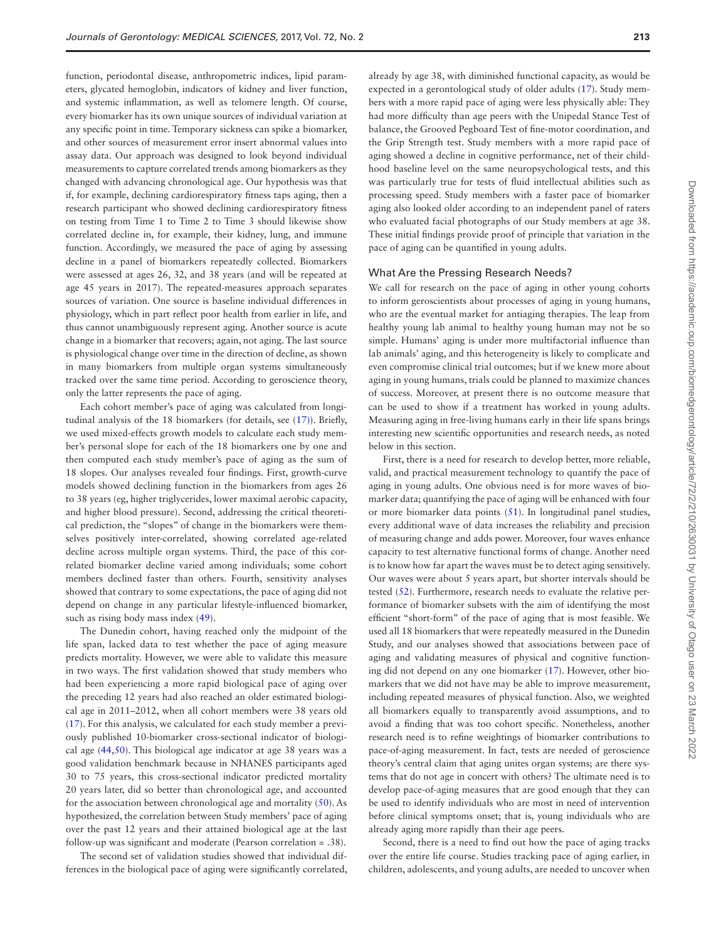function, periodontal disease, anthropometric indices, lipid parameters, glycated hemoglobin, indicators of kidney and liver function, and systemic inflammation, as well as telomere length. Of course, every biomarker has its own unique sources of individual variation at any specific point in time. Temporary sickness can spike a biomarker, and other sources of measurement error insert abnormal values into assay data. Our approach was designed to look beyond individual measurements to capture correlated trends among biomarkers as they changed with advancing chronological age. Our hypothesis was that if, for example, declining cardiorespiratory fitness taps aging, then a research participant who showed declining cardiorespiratory fitness on testing from Time 1 to Time 2 to Time 3 should likewise show correlated decline in, for example, their kidney, lung, and immune function. Accordingly, we measured the pace of aging by assessing decline in a panel of biomarkers repeatedly collected. Biomarkers were assessed at ages 26, 32, and 38 years (and will be repeated at age 45 years in 2017). The repeated-measures approach separates sources of variation. One source is baseline individual differences in physiology, which in part reflect poor health from earlier in life, and thus cannot unambiguously represent aging. Another source is acute change in a biomarker that recovers; again, not aging. The last source is physiological change over time in the direction of decline, as shown in many biomarkers from multiple organ systems simultaneously tracked over the same time period. According to geroscience theory, only the latter represents the pace of aging.

Each cohort member's pace of aging was calculated from longitudinal analysis of the 18 biomarkers (for details, see [\(17\)\)](#page-5-7). Briefly, we used mixed-effects growth models to calculate each study member's personal slope for each of the 18 biomarkers one by one and then computed each study member's pace of aging as the sum of 18 slopes. Our analyses revealed four findings. First, growth-curve models showed declining function in the biomarkers from ages 26 to 38 years (eg, higher triglycerides, lower maximal aerobic capacity, and higher blood pressure). Second, addressing the critical theoretical prediction, the "slopes" of change in the biomarkers were themselves positively inter-correlated, showing correlated age-related decline across multiple organ systems. Third, the pace of this correlated biomarker decline varied among individuals; some cohort members declined faster than others. Fourth, sensitivity analyses showed that contrary to some expectations, the pace of aging did not depend on change in any particular lifestyle-influenced biomarker, such as rising body mass index  $(49)$  $(49)$ .

The Dunedin cohort, having reached only the midpoint of the life span, lacked data to test whether the pace of aging measure predicts mortality. However, we were able to validate this measure in two ways. The first validation showed that study members who had been experiencing a more rapid biological pace of aging over the preceding 12 years had also reached an older estimated biological age in 2011–2012, when all cohort members were 38 years old [\(17](#page-5-7)). For this analysis, we calculated for each study member a previously published 10-biomarker cross-sectional indicator of biological age ([44,](#page-5-24)[50\)](#page-5-25). This biological age indicator at age 38 years was a good validation benchmark because in NHANES participants aged 30 to 75 years, this cross-sectional indicator predicted mortality 20 years later, did so better than chronological age, and accounted for the association between chronological age and mortality ([50](#page-5-25)). As hypothesized, the correlation between Study members' pace of aging over the past 12 years and their attained biological age at the last follow-up was significant and moderate (Pearson correlation = .38).

The second set of validation studies showed that individual differences in the biological pace of aging were significantly correlated,

already by age 38, with diminished functional capacity, as would be expected in a gerontological study of older adults [\(17](#page-5-7)). Study members with a more rapid pace of aging were less physically able: They had more difficulty than age peers with the Unipedal Stance Test of balance, the Grooved Pegboard Test of fine-motor coordination, and the Grip Strength test. Study members with a more rapid pace of aging showed a decline in cognitive performance, net of their childhood baseline level on the same neuropsychological tests, and this was particularly true for tests of fluid intellectual abilities such as processing speed. Study members with a faster pace of biomarker aging also looked older according to an independent panel of raters who evaluated facial photographs of our Study members at age 38. These initial findings provide proof of principle that variation in the pace of aging can be quantified in young adults.

#### What Are the Pressing Research Needs?

We call for research on the pace of aging in other young cohorts to inform geroscientists about processes of aging in young humans, who are the eventual market for antiaging therapies. The leap from healthy young lab animal to healthy young human may not be so simple. Humans' aging is under more multifactorial influence than lab animals' aging, and this heterogeneity is likely to complicate and even compromise clinical trial outcomes; but if we knew more about aging in young humans, trials could be planned to maximize chances of success. Moreover, at present there is no outcome measure that can be used to show if a treatment has worked in young adults. Measuring aging in free-living humans early in their life spans brings interesting new scientific opportunities and research needs, as noted below in this section.

First, there is a need for research to develop better, more reliable, valid, and practical measurement technology to quantify the pace of aging in young adults. One obvious need is for more waves of biomarker data; quantifying the pace of aging will be enhanced with four or more biomarker data points [\(51](#page-5-26)). In longitudinal panel studies, every additional wave of data increases the reliability and precision of measuring change and adds power. Moreover, four waves enhance capacity to test alternative functional forms of change. Another need is to know how far apart the waves must be to detect aging sensitively. Our waves were about 5 years apart, but shorter intervals should be tested [\(52](#page-5-27)). Furthermore, research needs to evaluate the relative performance of biomarker subsets with the aim of identifying the most efficient "short-form" of the pace of aging that is most feasible. We used all 18 biomarkers that were repeatedly measured in the Dunedin Study, and our analyses showed that associations between pace of aging and validating measures of physical and cognitive functioning did not depend on any one biomarker ([17\)](#page-5-7). However, other biomarkers that we did not have may be able to improve measurement, including repeated measures of physical function. Also, we weighted all biomarkers equally to transparently avoid assumptions, and to avoid a finding that was too cohort specific. Nonetheless, another research need is to refine weightings of biomarker contributions to pace-of-aging measurement. In fact, tests are needed of geroscience theory's central claim that aging unites organ systems; are there systems that do not age in concert with others? The ultimate need is to develop pace-of-aging measures that are good enough that they can be used to identify individuals who are most in need of intervention before clinical symptoms onset; that is, young individuals who are already aging more rapidly than their age peers.

Second, there is a need to find out how the pace of aging tracks over the entire life course. Studies tracking pace of aging earlier, in children, adolescents, and young adults, are needed to uncover when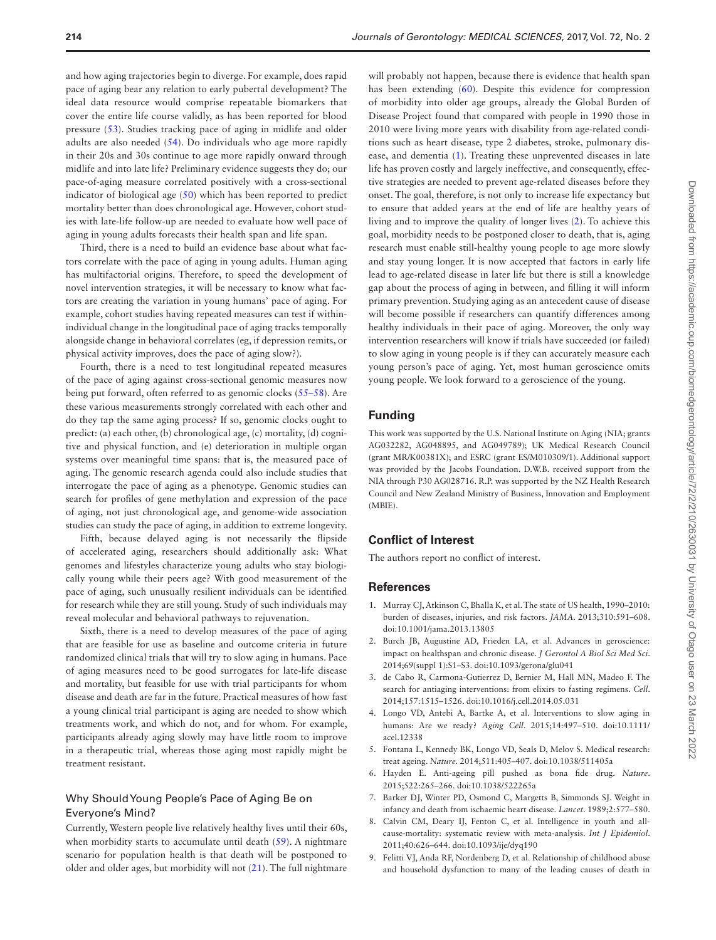and how aging trajectories begin to diverge. For example, does rapid pace of aging bear any relation to early pubertal development? The ideal data resource would comprise repeatable biomarkers that cover the entire life course validly, as has been reported for blood pressure [\(53](#page-5-28)). Studies tracking pace of aging in midlife and older adults are also needed [\(54](#page-5-29)). Do individuals who age more rapidly in their 20s and 30s continue to age more rapidly onward through midlife and into late life? Preliminary evidence suggests they do; our pace-of-aging measure correlated positively with a cross-sectional indicator of biological age ([50\)](#page-5-25) which has been reported to predict mortality better than does chronological age. However, cohort studies with late-life follow-up are needed to evaluate how well pace of aging in young adults forecasts their health span and life span.

Third, there is a need to build an evidence base about what factors correlate with the pace of aging in young adults. Human aging has multifactorial origins. Therefore, to speed the development of novel intervention strategies, it will be necessary to know what factors are creating the variation in young humans' pace of aging. For example, cohort studies having repeated measures can test if withinindividual change in the longitudinal pace of aging tracks temporally alongside change in behavioral correlates (eg, if depression remits, or physical activity improves, does the pace of aging slow?).

Fourth, there is a need to test longitudinal repeated measures of the pace of aging against cross-sectional genomic measures now being put forward, often referred to as genomic clocks ([55–58\)](#page-5-30). Are these various measurements strongly correlated with each other and do they tap the same aging process? If so, genomic clocks ought to predict: (a) each other, (b) chronological age, (c) mortality, (d) cognitive and physical function, and (e) deterioration in multiple organ systems over meaningful time spans: that is, the measured pace of aging. The genomic research agenda could also include studies that interrogate the pace of aging as a phenotype. Genomic studies can search for profiles of gene methylation and expression of the pace of aging, not just chronological age, and genome-wide association studies can study the pace of aging, in addition to extreme longevity.

Fifth, because delayed aging is not necessarily the flipside of accelerated aging, researchers should additionally ask: What genomes and lifestyles characterize young adults who stay biologically young while their peers age? With good measurement of the pace of aging, such unusually resilient individuals can be identified for research while they are still young. Study of such individuals may reveal molecular and behavioral pathways to rejuvenation.

Sixth, there is a need to develop measures of the pace of aging that are feasible for use as baseline and outcome criteria in future randomized clinical trials that will try to slow aging in humans. Pace of aging measures need to be good surrogates for late-life disease and mortality, but feasible for use with trial participants for whom disease and death are far in the future. Practical measures of how fast a young clinical trial participant is aging are needed to show which treatments work, and which do not, and for whom. For example, participants already aging slowly may have little room to improve in a therapeutic trial, whereas those aging most rapidly might be treatment resistant.

#### Why Should Young People's Pace of Aging Be on Everyone's Mind?

Currently, Western people live relatively healthy lives until their 60s, when morbidity starts to accumulate until death [\(59](#page-5-31)). A nightmare scenario for population health is that death will be postponed to older and older ages, but morbidity will not [\(21](#page-5-11)). The full nightmare

will probably not happen, because there is evidence that health span has been extending [\(60\)](#page-5-32). Despite this evidence for compression of morbidity into older age groups, already the Global Burden of Disease Project found that compared with people in 1990 those in 2010 were living more years with disability from age-related conditions such as heart disease, type 2 diabetes, stroke, pulmonary disease, and dementia ([1](#page-4-0)). Treating these unprevented diseases in late life has proven costly and largely ineffective, and consequently, effective strategies are needed to prevent age-related diseases before they onset. The goal, therefore, is not only to increase life expectancy but to ensure that added years at the end of life are healthy years of living and to improve the quality of longer lives ([2](#page-4-1)). To achieve this goal, morbidity needs to be postponed closer to death, that is, aging research must enable still-healthy young people to age more slowly and stay young longer. It is now accepted that factors in early life lead to age-related disease in later life but there is still a knowledge gap about the process of aging in between, and filling it will inform primary prevention. Studying aging as an antecedent cause of disease will become possible if researchers can quantify differences among healthy individuals in their pace of aging. Moreover, the only way intervention researchers will know if trials have succeeded (or failed) to slow aging in young people is if they can accurately measure each young person's pace of aging. Yet, most human geroscience omits young people. We look forward to a geroscience of the young.

#### **Funding**

This work was supported by the U.S. National Institute on Aging (NIA; grants AG032282, AG048895, and AG049789); UK Medical Research Council (grant MR/K00381X); and ESRC (grant ES/M010309/1). Additional support was provided by the Jacobs Foundation. D.W.B. received support from the NIA through P30 AG028716. R.P. was supported by the NZ Health Research Council and New Zealand Ministry of Business, Innovation and Employment (MBIE).

#### **Conflict of Interest**

The authors report no conflict of interest.

#### **References**

- <span id="page-4-0"></span>1. Murray CJ, Atkinson C, Bhalla K, et al. The state of US health, 1990–2010: burden of diseases, injuries, and risk factors. *JAMA*. 2013;310:591–608. doi:10.1001/jama.2013.13805
- <span id="page-4-1"></span>2. Burch JB, Augustine AD, Frieden LA, et al. Advances in geroscience: impact on healthspan and chronic disease. *J Gerontol A Biol Sci Med Sci*. 2014;69(suppl 1):S1–S3. doi:10.1093/gerona/glu041
- <span id="page-4-2"></span>3. de Cabo R, Carmona-Gutierrez D, Bernier M, Hall MN, Madeo F. The search for antiaging interventions: from elixirs to fasting regimens. *Cell*. 2014;157:1515–1526. doi:10.1016/j.cell.2014.05.031
- <span id="page-4-3"></span>4. Longo VD, Antebi A, Bartke A, et al. Interventions to slow aging in humans: Are we ready? *Aging Cell*. 2015;14:497–510. doi:10.1111/ acel.12338
- <span id="page-4-4"></span>5. Fontana L, Kennedy BK, Longo VD, Seals D, Melov S. Medical research: treat ageing. *Nature*. 2014;511:405–407. doi:10.1038/511405a
- <span id="page-4-5"></span>6. Hayden E. Anti-ageing pill pushed as bona fide drug. *Nature*. 2015;522:265–266. doi:10.1038/522265a
- <span id="page-4-6"></span>7. Barker DJ, Winter PD, Osmond C, Margetts B, Simmonds SJ. Weight in infancy and death from ischaemic heart disease. *Lancet*. 1989;2:577–580.
- <span id="page-4-7"></span>8. Calvin CM, Deary IJ, Fenton C, et al. Intelligence in youth and allcause-mortality: systematic review with meta-analysis. *Int J Epidemiol*. 2011;40:626–644. doi:10.1093/ije/dyq190
- <span id="page-4-8"></span>9. Felitti VJ, Anda RF, Nordenberg D, et al. Relationship of childhood abuse and household dysfunction to many of the leading causes of death in